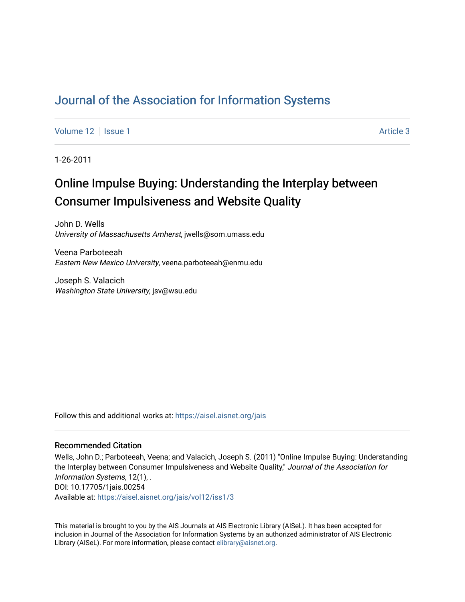# [Journal of the Association for Information Systems](https://aisel.aisnet.org/jais)

[Volume 12](https://aisel.aisnet.org/jais/vol12) | [Issue 1](https://aisel.aisnet.org/jais/vol12/iss1) Article 3

1-26-2011

# Online Impulse Buying: Understanding the Interplay between Consumer Impulsiveness and Website Quality

John D. Wells University of Massachusetts Amherst, jwells@som.umass.edu

Veena Parboteeah Eastern New Mexico University, veena.parboteeah@enmu.edu

Joseph S. Valacich Washington State University, jsv@wsu.edu

Follow this and additional works at: [https://aisel.aisnet.org/jais](https://aisel.aisnet.org/jais?utm_source=aisel.aisnet.org%2Fjais%2Fvol12%2Fiss1%2F3&utm_medium=PDF&utm_campaign=PDFCoverPages) 

#### Recommended Citation

Wells, John D.; Parboteeah, Veena; and Valacich, Joseph S. (2011) "Online Impulse Buying: Understanding the Interplay between Consumer Impulsiveness and Website Quality," Journal of the Association for Information Systems, 12(1), . DOI: 10.17705/1jais.00254 Available at: [https://aisel.aisnet.org/jais/vol12/iss1/3](https://aisel.aisnet.org/jais/vol12/iss1/3?utm_source=aisel.aisnet.org%2Fjais%2Fvol12%2Fiss1%2F3&utm_medium=PDF&utm_campaign=PDFCoverPages)

This material is brought to you by the AIS Journals at AIS Electronic Library (AISeL). It has been accepted for inclusion in Journal of the Association for Information Systems by an authorized administrator of AIS Electronic Library (AISeL). For more information, please contact [elibrary@aisnet.org.](mailto:elibrary@aisnet.org%3E)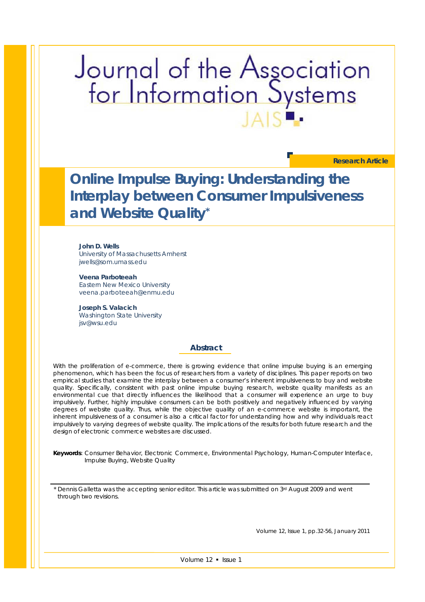# Journal of the Association<br>for Information Systems

**Research Article**

**Online Impulse Buying: Understanding the Interplay between Consumer Impulsiveness and Website Quality\***

**John D. Wells**  University of Massachusetts Amherst jwells@som.umass.edu

**Veena Parboteeah**  Eastern New Mexico University veena.parboteeah@enmu.edu

**Joseph S. Valacich**  Washington State University jsv@wsu.edu

#### **Abstract**

With the proliferation of e-commerce, there is growing evidence that online impulse buying is an emerging *phenomenon, which has been the focus of researchers from a variety of disciplines. This paper reports on two empirical studies that examine the interplay between a consumer's inherent impulsiveness to buy and website quality. Specifically, consistent with past online impulse buying research, website quality manifests as an environmental cue that directly influences the likelihood that a consumer will experience an urge to buy impulsively. Further, highly impulsive consumers can be both positively and negatively influenced by varying degrees of website quality. Thus, while the objective quality of an e-commerce website is important, the inherent impulsiveness of a consumer is also a critical factor for understanding how and why individuals react impulsively to varying degrees of website quality. The implications of the results for both future research and the design of electronic commerce websites are discussed.* 

*Keywords: Consumer Behavior, Electronic Commerce, Environmental Psychology, Human-Computer Interface, Impulse Buying, Website Quality* 

\* Dennis Galletta was the accepting senior editor. This article was submitted on 3rd August 2009 and went through two revisions.

Volume 12, Issue 1, pp.32-56, *January* 2011

Volume 12 · Issue 1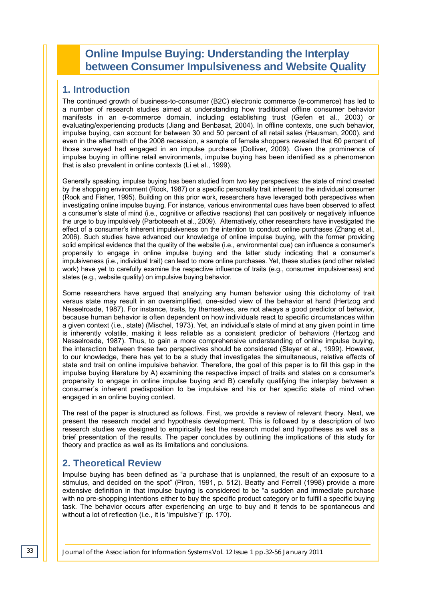# **Online Impulse Buying: Understanding the Interplay between Consumer Impulsiveness and Website Quality**

# **1. Introduction**

The continued growth of business-to-consumer (B2C) electronic commerce (e-commerce) has led to a number of research studies aimed at understanding how traditional offline consumer behavior manifests in an e-commerce domain, including establishing trust (Gefen et al., 2003) or evaluating/experiencing products (Jiang and Benbasat, 2004). In offline contexts, one such behavior, impulse buying, can account for between 30 and 50 percent of all retail sales (Hausman, 2000), and even in the aftermath of the 2008 recession, a sample of female shoppers revealed that 60 percent of those surveyed had engaged in an impulse purchase (Dolliver, 2009). Given the prominence of impulse buying in offline retail environments, impulse buying has been identified as a phenomenon that is also prevalent in online contexts (Li et al., 1999).

Generally speaking, impulse buying has been studied from two key perspectives: the state of mind created by the shopping environment (Rook, 1987) or a specific personality trait inherent to the individual consumer (Rook and Fisher, 1995). Building on this prior work, researchers have leveraged both perspectives when investigating online impulse buying. For instance, various environmental cues have been observed to affect a consumer's state of mind (i.e., cognitive or affective reactions) that can positively or negatively influence the urge to buy impulsively (Parboteeah et al., 2009). Alternatively, other researchers have investigated the effect of a consumer's inherent impulsiveness on the intention to conduct online purchases (Zhang et al., 2006). Such studies have advanced our knowledge of online impulse buying, with the former providing solid empirical evidence that the quality of the website (i.e., environmental cue) can influence a consumer's propensity to engage in online impulse buying and the latter study indicating that a consumer's impulsiveness (i.e., individual trait) can lead to more online purchases. Yet, these studies (and other related work) have yet to carefully examine the respective influence of traits (e.g., consumer impulsiveness) and states (e.g., website quality) on impulsive buying behavior.

Some researchers have argued that analyzing any human behavior using this dichotomy of trait versus state may result in an oversimplified, one-sided view of the behavior at hand (Hertzog and Nesselroade, 1987). For instance, traits, by themselves, are not always a good predictor of behavior, because human behavior is often dependent on how individuals react to specific circumstances within a given context (i.e., state) (Mischel, 1973). Yet, an individual's state of mind at any given point in time is inherently volatile, making it less reliable as a consistent predictor of behaviors (Hertzog and Nesselroade, 1987). Thus, to gain a more comprehensive understanding of online impulse buying, the interaction between these two perspectives should be considered (Steyer et al., 1999). However, to our knowledge, there has yet to be a study that investigates the simultaneous, relative effects of state and trait on online impulsive behavior. Therefore, the goal of this paper is to fill this gap in the impulse buying literature by A) examining the respective impact of traits and states on a consumer's propensity to engage in online impulse buying and B) carefully qualifying the interplay between a consumer's inherent predisposition to be impulsive and his or her specific state of mind when engaged in an online buying context.

The rest of the paper is structured as follows. First, we provide a review of relevant theory. Next, we present the research model and hypothesis development. This is followed by a description of two research studies we designed to empirically test the research model and hypotheses as well as a brief presentation of the results. The paper concludes by outlining the implications of this study for theory and practice as well as its limitations and conclusions.

# **2. Theoretical Review**

Impulse buying has been defined as "a purchase that is unplanned, the result of an exposure to a stimulus, and decided on the spot" (Piron, 1991, p. 512). Beatty and Ferrell (1998) provide a more extensive definition in that impulse buying is considered to be "a sudden and immediate purchase with no pre-shopping intentions either to buy the specific product category or to fulfill a specific buying task. The behavior occurs after experiencing an urge to buy and it tends to be spontaneous and without a lot of reflection (i.e., it is 'impulsive')" (p. 170).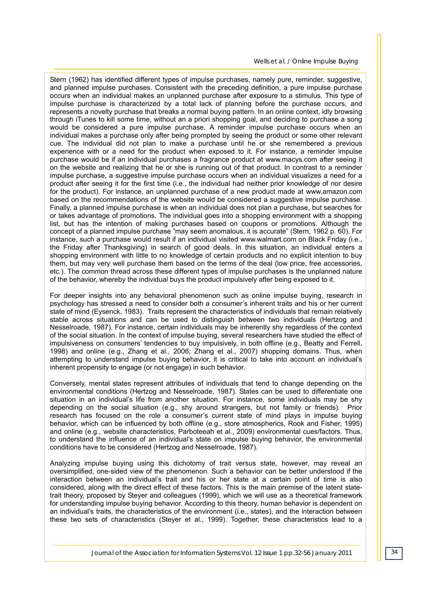Stern (1962) has identified different types of impulse purchases, namely pure, reminder, suggestive, and planned impulse purchases. Consistent with the preceding definition, a pure impulse purchase occurs when an individual makes an unplanned purchase after exposure to a stimulus. This type of impulse purchase is characterized by a total lack of planning before the purchase occurs, and represents a novelty purchase that breaks a normal buying pattern. In an online context, idly browsing through iTunes to kill some time, without an a priori shopping goal, and deciding to purchase a song would be considered a pure impulse purchase. A reminder impulse purchase occurs when an individual makes a purchase only after being prompted by seeing the product or some other relevant cue. The individual did not plan to make a purchase until he or she remembered a previous experience with or a need for the product when exposed to it. For instance, a reminder impulse purchase would be if an individual purchases a fragrance product at www.macys.com after seeing it on the website and realizing that he or she is running out of that product. In contrast to a reminder impulse purchase, a suggestive impulse purchase occurs when an individual visualizes a need for a product after seeing it for the first time (i.e., the individual had neither prior knowledge of nor desire for the product). For instance, an unplanned purchase of a new product made at www.amazon.com based on the recommendations of the website would be considered a suggestive impulse purchase. Finally, a planned impulse purchase is when an individual does not plan a purchase, but searches for or takes advantage of promotions. The individual goes into a shopping environment with a shopping list, but has the intention of making purchases based on coupons or promotions. Although the concept of a planned impulse purchase "may seem anomalous, it is accurate" (Stern, 1962 p. 60). For instance, such a purchase would result if an individual visited www.walmart.com on Black Friday (i.e., the Friday after Thanksgiving) in search of good deals. In this situation, an individual enters a shopping environment with little to no knowledge of certain products and no explicit intention to buy them, but may very well purchase them based on the terms of the deal (low price, free accessories, etc.). The common thread across these different types of impulse purchases is the unplanned nature of the behavior, whereby the individual buys the product impulsively after being exposed to it.

For deeper insights into any behavioral phenomenon such as online impulse buying, research in psychology has stressed a need to consider both a consumer's inherent traits and his or her current state of mind (Eysenck, 1983). Traits represent the characteristics of individuals that remain relatively stable across situations and can be used to distinguish between two individuals (Hertzog and Nesselroade, 1987). For instance, certain individuals may be inherently shy regardless of the context of the social situation. In the context of impulse buying, several researchers have studied the effect of impulsiveness on consumers' tendencies to buy impulsively, in both offline (e.g., Beatty and Ferrell, 1998) and online (e.g., Zhang et al., 2006; Zhang et al., 2007) shopping domains. Thus, when attempting to understand impulse buying behavior, it is critical to take into account an individual's inherent propensity to engage (or not engage) in such behavior.

Conversely, mental states represent attributes of individuals that tend to change depending on the environmental conditions (Hertzog and Nesselroade, 1987). States can be used to differentiate one situation in an individual's life from another situation. For instance, some individuals may be shy depending on the social situation (e.g., shy around strangers, but not family or friends). Prior research has focused on the role a consumer's current state of mind plays in impulse buying behavior, which can be influenced by both offline (e.g., store atmospherics, Rook and Fisher, 1995) and online (e.g., website characteristics, Parboteeah et al., 2009) environmental cues/factors. Thus, to understand the influence of an individual's state on impulse buying behavior, the environmental conditions have to be considered (Hertzog and Nesselroade, 1987).

Analyzing impulse buying using this dichotomy of trait versus state, however, may reveal an oversimplified, one-sided view of the phenomenon. Such a behavior can be better understood if the interaction between an individual's trait and his or her state at a certain point of time is also considered, along with the direct effect of these factors. This is the main premise of the latent statetrait theory, proposed by Steyer and colleagues (1999), which we will use as a theoretical framework for understanding impulse buying behavior. According to this theory, human behavior is dependent on an individual's traits, the characteristics of the environment (i.e., states), and the interaction between these two sets of characteristics (Steyer et al., 1999). Together, these characteristics lead to a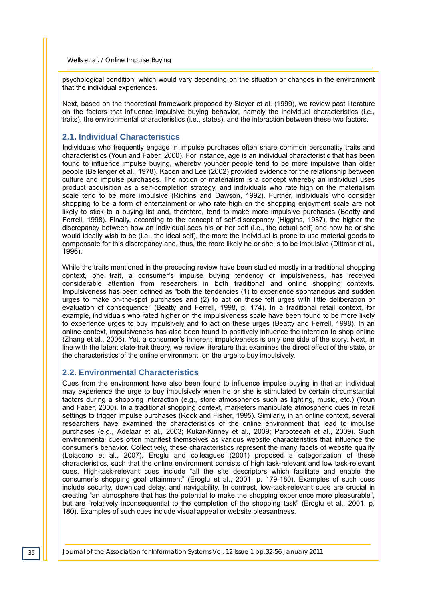psychological condition, which would vary depending on the situation or changes in the environment that the individual experiences.

Next, based on the theoretical framework proposed by Steyer et al. (1999), we review past literature on the factors that influence impulsive buying behavior, namely the individual characteristics (i.e., traits), the environmental characteristics (i.e., states), and the interaction between these two factors.

#### **2.1. Individual Characteristics**

Individuals who frequently engage in impulse purchases often share common personality traits and characteristics (Youn and Faber, 2000). For instance, age is an individual characteristic that has been found to influence impulse buying, whereby younger people tend to be more impulsive than older people (Bellenger et al., 1978). Kacen and Lee (2002) provided evidence for the relationship between culture and impulse purchases. The notion of materialism is a concept whereby an individual uses product acquisition as a self-completion strategy, and individuals who rate high on the materialism scale tend to be more impulsive (Richins and Dawson, 1992). Further, individuals who consider shopping to be a form of entertainment or who rate high on the shopping enjoyment scale are not likely to stick to a buying list and, therefore, tend to make more impulsive purchases (Beatty and Ferrell, 1998). Finally, according to the concept of self-discrepancy (Higgins, 1987), the higher the discrepancy between how an individual sees his or her self (i.e., the actual self) and how he or she would ideally wish to be (i.e., the ideal self), the more the individual is prone to use material goods to compensate for this discrepancy and, thus, the more likely he or she is to be impulsive (Dittmar et al., 1996).

While the traits mentioned in the preceding review have been studied mostly in a traditional shopping context, one trait, a consumer's impulse buying tendency or impulsiveness, has received considerable attention from researchers in both traditional and online shopping contexts. Impulsiveness has been defined as "both the tendencies (1) to experience spontaneous and sudden urges to make on-the-spot purchases and (2) to act on these felt urges with little deliberation or evaluation of consequence" (Beatty and Ferrell, 1998, p. 174). In a traditional retail context, for example, individuals who rated higher on the impulsiveness scale have been found to be more likely to experience urges to buy impulsively and to act on these urges (Beatty and Ferrell, 1998). In an online context, impulsiveness has also been found to positively influence the intention to shop online (Zhang et al., 2006). Yet, a consumer's inherent impulsiveness is only one side of the story. Next, in line with the latent state-trait theory, we review literature that examines the direct effect of the state, or the characteristics of the online environment, on the urge to buy impulsively.

#### **2.2. Environmental Characteristics**

Cues from the environment have also been found to influence impulse buying in that an individual may experience the urge to buy impulsively when he or she is stimulated by certain circumstantial factors during a shopping interaction (e.g., store atmospherics such as lighting, music, etc.) (Youn and Faber, 2000). In a traditional shopping context, marketers manipulate atmospheric cues in retail settings to trigger impulse purchases (Rook and Fisher, 1995). Similarly, in an online context, several researchers have examined the characteristics of the online environment that lead to impulse purchases (e.g., Adelaar et al., 2003; Kukar-Kinney et al., 2009; Parboteeah et al., 2009). Such environmental cues often manifest themselves as various website characteristics that influence the consumer's behavior. Collectively, these characteristics represent the many facets of website quality (Loiacono et al., 2007). Eroglu and colleagues (2001) proposed a categorization of these characteristics, such that the online environment consists of high task-relevant and low task-relevant cues. High-task-relevant cues include "all the site descriptors which facilitate and enable the consumer's shopping goal attainment" (Eroglu et al., 2001, p. 179-180). Examples of such cues include security, download delay, and navigability. In contrast, low-task-relevant cues are crucial in creating "an atmosphere that has the potential to make the shopping experience more pleasurable", but are "relatively inconsequential to the completion of the shopping task" (Eroglu et al., 2001, p. 180). Examples of such cues include visual appeal or website pleasantness.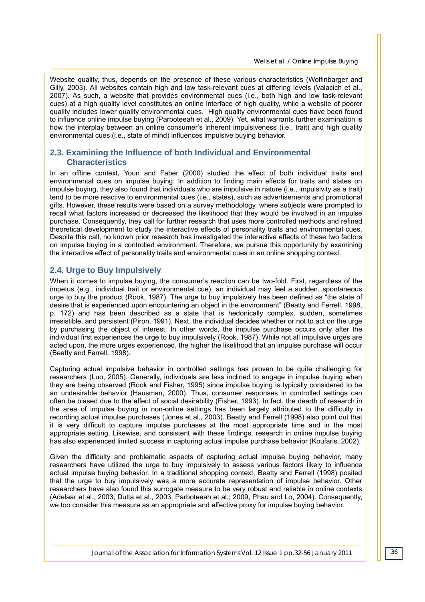Website quality, thus, depends on the presence of these various characteristics (Wolfinbarger and Gilly, 2003). All websites contain high and low task-relevant cues at differing levels (Valacich et al., 2007). As such, a website that provides environmental cues (i.e., both high and low task-relevant cues) at a high quality level constitutes an online interface of high quality, while a website of poorer quality includes lower quality environmental cues. High quality environmental cues have been found to influence online impulse buying (Parboteeah et al., 2009). Yet, what warrants further examination is how the interplay between an online consumer's inherent impulsiveness (i.e., trait) and high quality environmental cues (i.e., state of mind) influences impulsive buying behavior.

#### **2.3. Examining the Influence of both Individual and Environmental Characteristics**

In an offline context, Youn and Faber (2000) studied the effect of both individual traits and environmental cues on impulse buying. In addition to finding main effects for traits and states on impulse buying, they also found that individuals who are impulsive in nature (i.e., impulsivity as a trait) tend to be more reactive to environmental cues (i.e., states), such as advertisements and promotional gifts. However, these results were based on a survey methodology, where subjects were prompted to recall what factors increased or decreased the likelihood that they would be involved in an impulse purchase. Consequently, they call for further research that uses more controlled methods and refined theoretical development to study the interactive effects of personality traits and environmental cues. Despite this call, no known prior research has investigated the interactive effects of these two factors on impulse buying in a controlled environment. Therefore, we pursue this opportunity by examining the interactive effect of personality traits and environmental cues in an online shopping context.

#### **2.4. Urge to Buy Impulsively**

When it comes to impulse buying, the consumer's reaction can be two-fold. First, regardless of the impetus (e.g., individual trait or environmental cue), an individual may feel a sudden, spontaneous urge to buy the product (Rook, 1987). The urge to buy impulsively has been defined as "the state of desire that is experienced upon encountering an object in the environment" (Beatty and Ferrell, 1998, p. 172) and has been described as a state that is hedonically complex, sudden, sometimes irresistible, and persistent (Piron, 1991). Next, the individual decides whether or not to act on the urge by purchasing the object of interest. In other words, the impulse purchase occurs only after the individual first experiences the urge to buy impulsively (Rook, 1987). While not all impulsive urges are acted upon, the more urges experienced, the higher the likelihood that an impulse purchase will occur (Beatty and Ferrell, 1998).

Capturing actual impulsive behavior in controlled settings has proven to be quite challenging for researchers (Luo, 2005). Generally, individuals are less inclined to engage in impulse buying when they are being observed (Rook and Fisher, 1995) since impulse buying is typically considered to be an undesirable behavior (Hausman, 2000). Thus, consumer responses in controlled settings can often be biased due to the effect of social desirability (Fisher, 1993). In fact, the dearth of research in the area of impulse buying in non-online settings has been largely attributed to the difficulty in recording actual impulse purchases (Jones et al., 2003). Beatty and Ferrell (1998) also point out that it is very difficult to capture impulse purchases at the most appropriate time and in the most appropriate setting. Likewise, and consistent with these findings, research in online impulse buying has also experienced limited success in capturing actual impulse purchase behavior (Koufaris, 2002).

Given the difficulty and problematic aspects of capturing actual impulse buying behavior, many researchers have utilized the urge to buy impulsively to assess various factors likely to influence actual impulse buying behavior. In a traditional shopping context, Beatty and Ferrell (1998) posited that the urge to buy impulsively was a more accurate representation of impulse behavior. Other researchers have also found this surrogate measure to be very robust and reliable in online contexts (Adelaar et al., 2003; Dutta et al., 2003; Parboteeah et al.; 2009, Phau and Lo, 2004). Consequently, we too consider this measure as an appropriate and effective proxy for impulse buying behavior.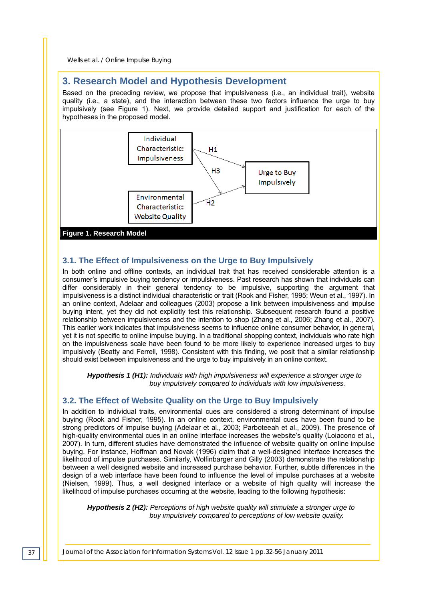## **3. Research Model and Hypothesis Development**

Based on the preceding review, we propose that impulsiveness (i.e., an individual trait), website quality (i.e., a state), and the interaction between these two factors influence the urge to buy impulsively (see Figure 1). Next, we provide detailed support and justification for each of the hypotheses in the proposed model.



#### **3.1. The Effect of Impulsiveness on the Urge to Buy Impulsively**

In both online and offline contexts, an individual trait that has received considerable attention is a consumer's impulsive buying tendency or impulsiveness. Past research has shown that individuals can differ considerably in their general tendency to be impulsive, supporting the argument that impulsiveness is a distinct individual characteristic or trait (Rook and Fisher, 1995; Weun et al., 1997). In an online context, Adelaar and colleagues (2003) propose a link between impulsiveness and impulse buying intent, yet they did not explicitly test this relationship. Subsequent research found a positive relationship between impulsiveness and the intention to shop (Zhang et al., 2006; Zhang et al., 2007). This earlier work indicates that impulsiveness seems to influence online consumer behavior, in general, yet it is not specific to online impulse buying. In a traditional shopping context, individuals who rate high on the impulsiveness scale have been found to be more likely to experience increased urges to buy impulsively (Beatty and Ferrell, 1998). Consistent with this finding, we posit that a similar relationship should exist between impulsiveness and the urge to buy impulsively in an online context.

*Hypothesis 1 (H1): Individuals with high impulsiveness will experience a stronger urge to buy impulsively compared to individuals with low impulsiveness.* 

#### **3.2. The Effect of Website Quality on the Urge to Buy Impulsively**

In addition to individual traits, environmental cues are considered a strong determinant of impulse buying (Rook and Fisher, 1995). In an online context, environmental cues have been found to be strong predictors of impulse buying (Adelaar et al., 2003; Parboteeah et al., 2009). The presence of high-quality environmental cues in an online interface increases the website's quality (Loiacono et al., 2007). In turn, different studies have demonstrated the influence of website quality on online impulse buying. For instance, Hoffman and Novak (1996) claim that a well-designed interface increases the likelihood of impulse purchases. Similarly, Wolfinbarger and Gilly (2003) demonstrate the relationship between a well designed website and increased purchase behavior. Further, subtle differences in the design of a web interface have been found to influence the level of impulse purchases at a website (Nielsen, 1999). Thus, a well designed interface or a website of high quality will increase the likelihood of impulse purchases occurring at the website, leading to the following hypothesis:

*Hypothesis 2 (H2): Perceptions of high website quality will stimulate a stronger urge to buy impulsively compared to perceptions of low website quality.*

*37 Journal of the Association for Information Systems Vol. 12 Issue 1 pp.32-56 January 2011*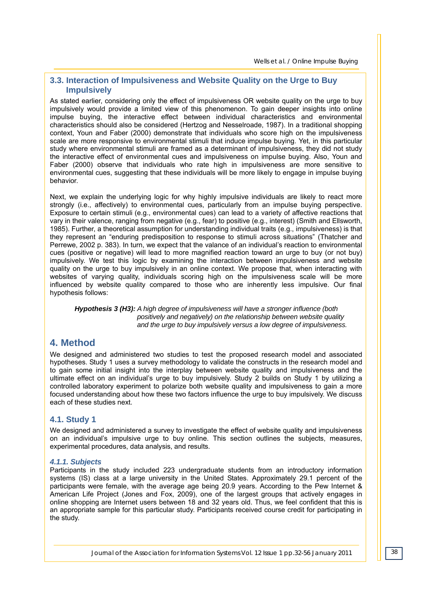### **3.3. Interaction of Impulsiveness and Website Quality on the Urge to Buy Impulsively**

As stated earlier, considering only the effect of impulsiveness OR website quality on the urge to buy impulsively would provide a limited view of this phenomenon. To gain deeper insights into online impulse buying, the interactive effect between individual characteristics and environmental characteristics should also be considered (Hertzog and Nesselroade, 1987). In a traditional shopping context, Youn and Faber (2000) demonstrate that individuals who score high on the impulsiveness scale are more responsive to environmental stimuli that induce impulse buying. Yet, in this particular study where environmental stimuli are framed as a determinant of impulsiveness, they did not study the interactive effect of environmental cues and impulsiveness on impulse buying. Also, Youn and Faber (2000) observe that individuals who rate high in impulsiveness are more sensitive to environmental cues, suggesting that these individuals will be more likely to engage in impulse buying behavior.

Next, we explain the underlying logic for why highly impulsive individuals are likely to react more strongly (i.e., affectively) to environmental cues, particularly from an impulse buying perspective. Exposure to certain stimuli (e.g., environmental cues) can lead to a variety of affective reactions that vary in their valence, ranging from negative (e.g., fear) to positive (e.g., interest) (Smith and Ellsworth, 1985). Further, a theoretical assumption for understanding individual traits (e.g., impulsiveness) is that they represent an "enduring predisposition to response to stimuli across situations" (Thatcher and Perrewe, 2002 p. 383). In turn, we expect that the valance of an individual's reaction to environmental cues (positive or negative) will lead to more magnified reaction toward an urge to buy (or not buy) impulsively. We test this logic by examining the interaction between impulsiveness and website quality on the urge to buy impulsively in an online context. We propose that, when interacting with websites of varying quality, individuals scoring high on the impulsiveness scale will be more influenced by website quality compared to those who are inherently less impulsive. Our final hypothesis follows:

*Hypothesis 3 (H3): A high degree of impulsiveness will have a stronger influence (both positively and negatively) on the relationship between website quality and the urge to buy impulsively versus a low degree of impulsiveness.* 

## **4. Method**

We designed and administered two studies to test the proposed research model and associated hypotheses. Study 1 uses a survey methodology to validate the constructs in the research model and to gain some initial insight into the interplay between website quality and impulsiveness and the ultimate effect on an individual's urge to buy impulsively. Study 2 builds on Study 1 by utilizing a controlled laboratory experiment to polarize both website quality and impulsiveness to gain a more focused understanding about how these two factors influence the urge to buy impulsively. We discuss each of these studies next.

#### **4.1. Study 1**

We designed and administered a survey to investigate the effect of website quality and impulsiveness on an individual's impulsive urge to buy online. This section outlines the subjects, measures, experimental procedures, data analysis, and results.

#### *4.1.1. Subjects*

Participants in the study included 223 undergraduate students from an introductory information systems (IS) class at a large university in the United States. Approximately 29.1 percent of the participants were female, with the average age being 20.9 years. According to the Pew Internet & American Life Project (Jones and Fox, 2009), one of the largest groups that actively engages in online shopping are Internet users between 18 and 32 years old. Thus, we feel confident that this is an appropriate sample for this particular study. Participants received course credit for participating in the study.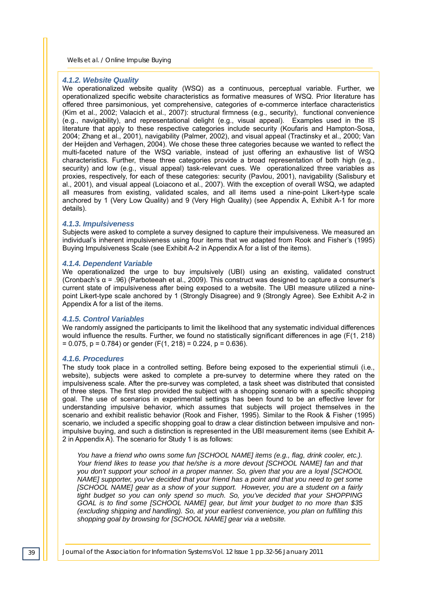#### *4.1.2. Website Quality*

We operationalized website quality (WSQ) as a continuous, perceptual variable. Further, we operationalized specific website characteristics as formative measures of WSQ. Prior literature has offered three parsimonious, yet comprehensive, categories of e-commerce interface characteristics (Kim et al., 2002; Valacich et al., 2007): structural firmness (e.g., security), functional convenience (e.g., navigability), and representational delight (e.g., visual appeal). Examples used in the IS literature that apply to these respective categories include security (Koufaris and Hampton-Sosa, 2004; Zhang et al., 2001), navigability (Palmer, 2002), and visual appeal (Tractinsky et al., 2000; Van der Heijden and Verhagen, 2004). We chose these three categories because we wanted to reflect the multi-faceted nature of the WSQ variable, instead of just offering an exhaustive list of WSQ characteristics. Further, these three categories provide a broad representation of both high (e.g., security) and low (e.g., visual appeal) task-relevant cues. We operationalized three variables as proxies, respectively, for each of these categories: security (Pavlou, 2001), navigability (Salisbury et al., 2001), and visual appeal (Loiacono et al., 2007). With the exception of overall WSQ, we adapted all measures from existing, validated scales, and all items used a nine-point Likert-type scale anchored by 1 (Very Low Quality) and 9 (Very High Quality) (see Appendix A, Exhibit A-1 for more details).

#### *4.1.3. Impulsiveness*

Subjects were asked to complete a survey designed to capture their impulsiveness. We measured an individual's inherent impulsiveness using four items that we adapted from Rook and Fisher's (1995) Buying Impulsiveness Scale (see Exhibit A-2 in Appendix A for a list of the items).

#### *4.1.4. Dependent Variable*

We operationalized the urge to buy impulsively (UBI) using an existing, validated construct (Cronbach's α = .96) (Parboteeah et al., 2009). This construct was designed to capture a consumer's current state of impulsiveness after being exposed to a website. The UBI measure utilized a ninepoint Likert-type scale anchored by 1 (Strongly Disagree) and 9 (Strongly Agree). See Exhibit A-2 in Appendix A for a list of the items.

#### *4.1.5. Control Variables*

We randomly assigned the participants to limit the likelihood that any systematic individual differences would influence the results. Further, we found no statistically significant differences in age (F(1, 218)  $= 0.075$ , p = 0.784) or gender (F(1, 218) = 0.224, p = 0.636).

#### *4.1.6. Procedures*

The study took place in a controlled setting. Before being exposed to the experiential stimuli (i.e., website), subjects were asked to complete a pre-survey to determine where they rated on the impulsiveness scale. After the pre-survey was completed, a task sheet was distributed that consisted of three steps. The first step provided the subject with a shopping scenario with a specific shopping goal. The use of scenarios in experimental settings has been found to be an effective lever for understanding impulsive behavior, which assumes that subjects will project themselves in the scenario and exhibit realistic behavior (Rook and Fisher, 1995). Similar to the Rook & Fisher (1995) scenario, we included a specific shopping goal to draw a clear distinction between impulsive and nonimpulsive buying, and such a distinction is represented in the UBI measurement items (see Exhibit A-2 in Appendix A). The scenario for Study 1 is as follows:

*You have a friend who owns some fun [SCHOOL NAME] items (e.g., flag, drink cooler, etc.). Your friend likes to tease you that he/she is a more devout [SCHOOL NAME] fan and that you don't support your school in a proper manner. So, given that you are a loyal [SCHOOL NAME] supporter, you've decided that your friend has a point and that you need to get some [SCHOOL NAME] gear as a show of your support. However, you are a student on a fairly tight budget so you can only spend so much. So, you've decided that your SHOPPING GOAL is to find some [SCHOOL NAME] gear, but limit your budget to no more than \$35 (excluding shipping and handling). So, at your earliest convenience, you plan on fulfilling this shopping goal by browsing for [SCHOOL NAME] gear via a website.*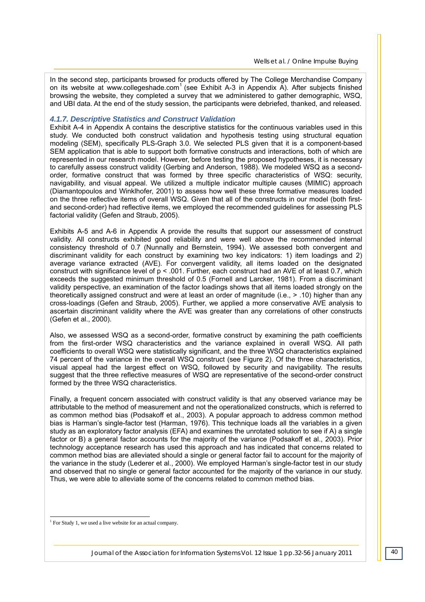In the second step, participants browsed for products offered by The College Merchandise Company on its website at www.collegeshade.com<sup>1</sup> (see Exhibit A-3 in Appendix A). After subjects finished browsing the website, they completed a survey that we administered to gather demographic, WSQ, and UBI data. At the end of the study session, the participants were debriefed, thanked, and released.

#### *4.1.7. Descriptive Statistics and Construct Validation*

Exhibit A-4 in Appendix A contains the descriptive statistics for the continuous variables used in this study. We conducted both construct validation and hypothesis testing using structural equation modeling (SEM), specifically PLS-Graph 3.0. We selected PLS given that it is a component-based SEM application that is able to support both formative constructs and interactions, both of which are represented in our research model. However, before testing the proposed hypotheses, it is necessary to carefully assess construct validity (Gerbing and Anderson, 1988). We modeled WSQ as a secondorder, formative construct that was formed by three specific characteristics of WSQ: security, navigability, and visual appeal. We utilized a multiple indicator multiple causes (MIMIC) approach (Diamantopoulos and Winklhofer, 2001) to assess how well these three formative measures loaded on the three reflective items of overall WSQ. Given that all of the constructs in our model (both firstand second-order) had reflective items, we employed the recommended guidelines for assessing PLS factorial validity (Gefen and Straub, 2005).

Exhibits A-5 and A-6 in Appendix A provide the results that support our assessment of construct validity. All constructs exhibited good reliability and were well above the recommended internal consistency threshold of 0.7 (Nunnally and Bernstein, 1994). We assessed both convergent and discriminant validity for each construct by examining two key indicators: 1) item loadings and 2) average variance extracted (AVE). For convergent validity, all items loaded on the designated construct with significance level of p < .001. Further, each construct had an AVE of at least 0.7, which exceeds the suggested minimum threshold of 0.5 (Fornell and Larcker, 1981). From a discriminant validity perspective, an examination of the factor loadings shows that all items loaded strongly on the theoretically assigned construct and were at least an order of magnitude (i.e., > .10) higher than any cross-loadings (Gefen and Straub, 2005). Further, we applied a more conservative AVE analysis to ascertain discriminant validity where the AVE was greater than any correlations of other constructs (Gefen et al., 2000).

Also, we assessed WSQ as a second-order, formative construct by examining the path coefficients from the first-order WSQ characteristics and the variance explained in overall WSQ. All path coefficients to overall WSQ were statistically significant, and the three WSQ characteristics explained 74 percent of the variance in the overall WSQ construct (see Figure 2). Of the three characteristics, visual appeal had the largest effect on WSQ, followed by security and navigability. The results suggest that the three reflective measures of WSQ are representative of the second-order construct formed by the three WSQ characteristics.

Finally, a frequent concern associated with construct validity is that any observed variance may be attributable to the method of measurement and not the operationalized constructs, which is referred to as common method bias (Podsakoff et al., 2003). A popular approach to address common method bias is Harman's single-factor test (Harman, 1976). This technique loads all the variables in a given study as an exploratory factor analysis (EFA) and examines the unrotated solution to see if A) a single factor or B) a general factor accounts for the majority of the variance (Podsakoff et al., 2003). Prior technology acceptance research has used this approach and has indicated that concerns related to common method bias are alleviated should a single or general factor fail to account for the majority of the variance in the study (Lederer et al., 2000). We employed Harman's single-factor test in our study and observed that no single or general factor accounted for the majority of the variance in our study. Thus, we were able to alleviate some of the concerns related to common method bias.

1

<sup>&</sup>lt;sup>1</sup> For Study 1, we used a live website for an actual company.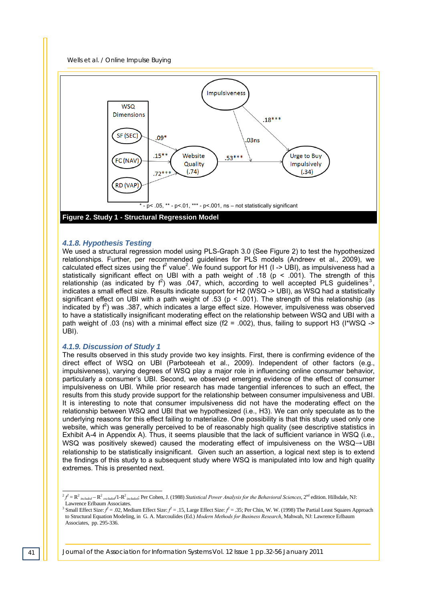



#### *4.1.8. Hypothesis Testing*

We used a structural regression model using PLS-Graph 3.0 (See Figure 2) to test the hypothesized relationships. Further, per recommended guidelines for PLS models (Andreev et al., 2009), we calculated effect sizes using the  $f^2$  value<sup>2</sup>. We found support for H1 (I -> UBI), as impulsiveness had a statistically significant effect on UBI with a path weight of .18 ( $p < .001$ ). The strength of this relationship (as indicated by  $f^2$ ) was .047, which, according to well accepted PLS guidelines<sup>3</sup>, indicates a small effect size. Results indicate support for H2 (WSQ -> UBI), as WSQ had a statistically significant effect on UBI with a path weight of .53 ( $p < .001$ ). The strength of this relationship (as indicated by  $f^2$ ) was .387, which indicates a large effect size. However, impulsiveness was observed to have a statistically insignificant moderating effect on the relationship between WSQ and UBI with a path weight of .03 (ns) with a minimal effect size (f2 = .002), thus, failing to support H3 (I\*WSQ -> UBI).

#### *4.1.9. Discussion of Study 1*

The results observed in this study provide two key insights. First, there is confirming evidence of the direct effect of WSQ on UBI (Parboteeah et al., 2009). Independent of other factors (e.g., impulsiveness), varying degrees of WSQ play a major role in influencing online consumer behavior, particularly a consumer's UBI. Second, we observed emerging evidence of the effect of consumer impulsiveness on UBI. While prior research has made tangential inferences to such an effect, the results from this study provide support for the relationship between consumer impulsiveness and UBI. It is interesting to note that consumer impulsiveness did not have the moderating effect on the relationship between WSQ and UBI that we hypothesized (i.e., H3). We can only speculate as to the underlying reasons for this effect failing to materialize. One possibility is that this study used only one website, which was generally perceived to be of reasonably high quality (see descriptive statistics in Exhibit A-4 in Appendix A). Thus, it seems plausible that the lack of sufficient variance in WSQ (i.e., WSQ was positively skewed) caused the moderating effect of impulsiveness on the WSQ→UBI relationship to be statistically insignificant. Given such an assertion, a logical next step is to extend the findings of this study to a subsequent study where WSQ is manipulated into low and high quality extremes. This is presented next.

l  $\hat{\tau}^2 f = R^2$  included  $-R^2$  excluded<sup> $/1-R^2$  included; Per Cohen, J. (1988) *Statistical Power Analysis for the Behavioral Sciences*, 2<sup>nd</sup> edition. Hillsdale, NJ:</sup> Lawrence Erlbaum Associates.

<sup>&</sup>lt;sup>3</sup> Small Effect Size:  $f^2 = .02$ , Medium Effect Size:  $f^2 = .15$ , Large Effect Size:  $f^2 = .35$ ; Per Chin, W. W. (1998) The Partial Least Squares Approach to Structural Equation Modeling, in G. A. Marcoulides (Ed.) *Modern Methods for Business Research*, Mahwah, NJ: Lawrence Erlbaum Associates, pp. 295-336.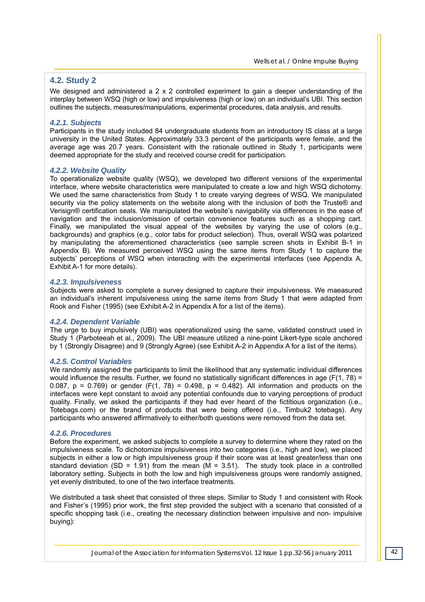#### **4.2. Study 2**

We designed and administered a  $2 \times 2$  controlled experiment to gain a deeper understanding of the interplay between WSQ (high or low) and impulsiveness (high or low) on an individual's UBI. This section outlines the subjects, measures/manipulations, experimental procedures, data analysis, and results.

#### *4.2.1. Subjects*

Participants in the study included 84 undergraduate students from an introductory IS class at a large university in the United States. Approximately 33.3 percent of the participants were female, and the average age was 20.7 years. Consistent with the rationale outlined in Study 1, participants were deemed appropriate for the study and received course credit for participation.

#### *4.2.2. Website Quality*

To operationalize website quality (WSQ), we developed two different versions of the experimental interface, where website characteristics were manipulated to create a low and high WSQ dichotomy. We used the same characteristics from Study 1 to create varying degrees of WSQ. We manipulated security via the policy statements on the website along with the inclusion of both the Truste® and Verisign® certification seals. We manipulated the website's navigability via differences in the ease of navigation and the inclusion/omission of certain convenience features such as a shopping cart. Finally, we manipulated the visual appeal of the websites by varying the use of colors (e.g., backgrounds) and graphics (e.g., color tabs for product selection). Thus, overall WSQ was polarized by manipulating the aforementioned characteristics (see sample screen shots in Exhibit B-1 in Appendix B). We measured perceived WSQ using the same items from Study 1 to capture the subjects' perceptions of WSQ when interacting with the experimental interfaces (see Appendix A, Exhibit A-1 for more details).

#### *4.2.3. Impulsiveness*

Subjects were asked to complete a survey designed to capture their impulsiveness. We maeasured an individual's inherent impulsiveness using the same items from Study 1 that were adapted from Rook and Fisher (1995) (see Exhibit A-2 in Appendix A for a list of the items).

#### *4.2.4. Dependent Variable*

The urge to buy impulsively (UBI) was operationalized using the same, validated construct used in Study 1 (Parboteeah et al., 2009). The UBI measure utilized a nine-point Likert-type scale anchored by 1 (Strongly Disagree) and 9 (Strongly Agree) (see Exhibit A-2 in Appendix A for a list of the items).

#### *4.2.5. Control Variables*

We randomly assigned the participants to limit the likelihood that any systematic individual differences would influence the results. Further, we found no statistically significant differences in age (F(1, 78) = 0.087,  $p = 0.769$  or gender (F(1, 78) = 0.498,  $p = 0.482$ ). All information and products on the interfaces were kept constant to avoid any potential confounds due to varying perceptions of product quality. Finally, we asked the participants if they had ever heard of the fictitious organization (i.e., Totebags.com) or the brand of products that were being offered (i.e., Timbuk2 totebags). Any participants who answered affirmatively to either/both questions were removed from the data set.

#### *4.2.6. Procedures*

Before the experiment, we asked subjects to complete a survey to determine where they rated on the impulsiveness scale. To dichotomize impulsiveness into two categories (i.e., high and low), we placed subjects in either a low or high impulsiveness group if their score was at least greater/less than one standard deviation (SD = 1.91) from the mean ( $M = 3.51$ ). The study took place in a controlled laboratory setting. Subjects in both the low and high impulsiveness groups were randomly assigned, yet evenly distributed, to one of the two interface treatments.

We distributed a task sheet that consisted of three steps. Similar to Study 1 and consistent with Rook and Fisher's (1995) prior work, the first step provided the subject with a scenario that consisted of a specific shopping task (i.e., creating the necessary distinction between impulsive and non- impulsive buying):

*Journal of the Association for Information Systems Vol. 12 Issue 1 pp.32-56 January 2011 42*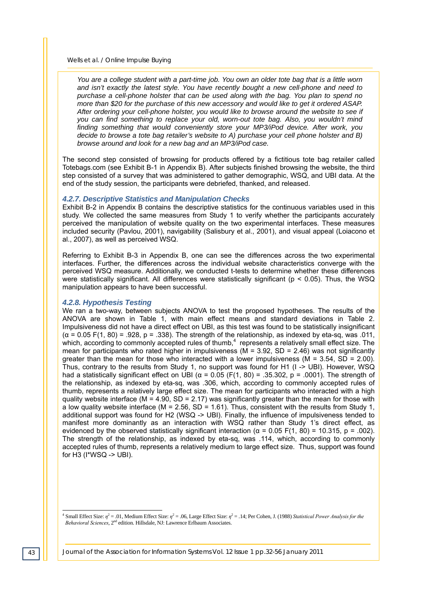*You are a college student with a part-time job. You own an older tote bag that is a little worn and isn't exactly the latest style. You have recently bought a new cell-phone and need to purchase a cell-phone holster that can be used along with the bag. You plan to spend no more than \$20 for the purchase of this new accessory and would like to get it ordered ASAP. After ordering your cell-phone holster, you would like to browse around the website to see if you can find something to replace your old, worn-out tote bag. Also, you wouldn't mind finding something that would conveniently store your MP3/iPod device. After work, you decide to browse a tote bag retailer's website to A) purchase your cell phone holster and B) browse around and look for a new bag and an MP3/iPod case.* 

The second step consisted of browsing for products offered by a fictitious tote bag retailer called Totebags.com (see Exhibit B-1 in Appendix B). After subjects finished browsing the website, the third step consisted of a survey that was administered to gather demographic, WSQ, and UBI data. At the end of the study session, the participants were debriefed, thanked, and released.

#### *4.2.7. Descriptive Statistics and Manipulation Checks*

Exhibit B-2 in Appendix B contains the descriptive statistics for the continuous variables used in this study. We collected the same measures from Study 1 to verify whether the participants accurately perceived the manipulation of website quality on the two experimental interfaces. These measures included security (Pavlou, 2001), navigability (Salisbury et al., 2001), and visual appeal (Loiacono et al., 2007), as well as perceived WSQ.

Referring to Exhibit B-3 in Appendix B, one can see the differences across the two experimental interfaces. Further, the differences across the individual website characteristics converge with the perceived WSQ measure. Additionally, we conducted t-tests to determine whether these differences were statistically significant. All differences were statistically significant ( $p < 0.05$ ). Thus, the WSQ manipulation appears to have been successful.

#### *4.2.8. Hypothesis Testing*

We ran a two-way, between subjects ANOVA to test the proposed hypotheses. The results of the ANOVA are shown in Table 1, with main effect means and standard deviations in Table 2. Impulsiveness did not have a direct effect on UBI, as this test was found to be statistically insignificant  $(\alpha = 0.05 \text{ F}(1, 80) = .928, \text{p} = .338)$ . The strength of the relationship, as indexed by eta-sq, was .011, which, according to commonly accepted rules of thumb, $4$  represents a relatively small effect size. The mean for participants who rated higher in impulsiveness ( $M = 3.92$ , SD = 2.46) was not significantly greater than the mean for those who interacted with a lower impulsiveness ( $M = 3.54$ ,  $SD = 2.00$ ). Thus, contrary to the results from Study 1, no support was found for H1 (I -> UBI). However, WSQ had a statistically significant effect on UBI ( $\alpha$  = 0.05 (F(1, 80) = .35.302, p = .0001). The strength of the relationship, as indexed by eta-sq, was .306, which, according to commonly accepted rules of thumb, represents a relatively large effect size. The mean for participants who interacted with a high quality website interface (M = 4.90, SD = 2.17) was significantly greater than the mean for those with a low quality website interface ( $M = 2.56$ ,  $SD = 1.61$ ). Thus, consistent with the results from Study 1, additional support was found for H2 (WSQ -> UBI). Finally, the influence of impulsiveness tended to manifest more dominantly as an interaction with WSQ rather than Study 1's direct effect, as evidenced by the observed statistically significant interaction ( $\alpha$  = 0.05 F(1, 80) = 10.315, p = .002). The strength of the relationship, as indexed by eta-sq, was .114, which, according to commonly accepted rules of thumb, represents a relatively medium to large effect size. Thus, support was found for H3 (I\*WSQ -> UBI).

*43 Journal of the Association for Information Systems Vol. 12 Issue 1 pp.32-56 January 2011* 

l

<sup>&</sup>lt;sup>4</sup> Small Effect Size:  $\eta^2 = .01$ , Medium Effect Size:  $\eta^2 = .06$ , Large Effect Size:  $\eta^2 = .14$ ; Per Cohen, J. (1988) *Statistical Power Analysis for the Behavioral Sciences*, 2<sup>nd</sup> edition. Hillsdale, NJ: Lawrence Erlbaum Associates.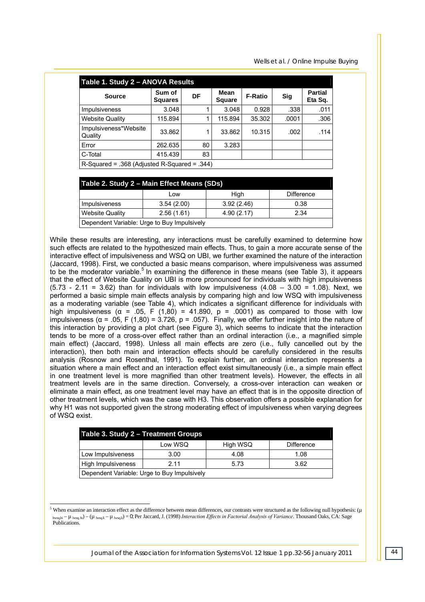| Table 1. Study 2 - ANOVA Results               |                          |    |                              |                |       |                           |  |  |  |
|------------------------------------------------|--------------------------|----|------------------------------|----------------|-------|---------------------------|--|--|--|
| <b>Source</b>                                  | Sum of<br><b>Squares</b> | DF | <b>Mean</b><br><b>Square</b> | <b>F-Ratio</b> | Sig   | <b>Partial</b><br>Eta Sq. |  |  |  |
| <b>Impulsiveness</b>                           | 3.048                    |    | 3.048                        | 0.928          | .338  | .011                      |  |  |  |
| <b>Website Quality</b>                         | 115.894                  |    | 115.894                      | 35.302         | .0001 | .306                      |  |  |  |
| Impulsiveness*Website<br>Quality               | 33.862                   |    | 33.862                       | 10.315         | .002  | .114                      |  |  |  |
| Error                                          | 262.635                  | 80 | 3.283                        |                |       |                           |  |  |  |
| C-Total                                        | 415.439                  | 83 |                              |                |       |                           |  |  |  |
| $R-Squared = .368$ (Adjusted R-Squared = .344) |                          |    |                              |                |       |                           |  |  |  |

| Table 2. Study 2 – Main Effect Means (SDs)                 |            |            |      |  |  |  |  |
|------------------------------------------------------------|------------|------------|------|--|--|--|--|
| High<br>Difference<br>Low                                  |            |            |      |  |  |  |  |
| Impulsiveness                                              | 3.54(2.00) | 3.92(2.46) | 0.38 |  |  |  |  |
| <b>Website Quality</b><br>4.90(2.17)<br>2.56(1.61)<br>2.34 |            |            |      |  |  |  |  |
| Dependent Variable: Urge to Buy Impulsively                |            |            |      |  |  |  |  |

While these results are interesting, any interactions must be carefully examined to determine how such effects are related to the hypothesized main effects. Thus, to gain a more accurate sense of the interactive effect of impulsiveness and WSQ on UBI, we further examined the nature of the interaction (Jaccard, 1998). First, we conducted a basic means comparison, where impulsiveness was assumed to be the moderator variable.<sup>5</sup> In examining the difference in these means (see Table 3), it appears that the effect of Website Quality on UBI is more pronounced for individuals with high impulsiveness (5.73 - 2.11 = 3.62) than for individuals with low impulsiveness (4.08 – 3.00 = 1.08). Next, we performed a basic simple main effects analysis by comparing high and low WSQ with impulsiveness as a moderating variable (see Table 4), which indicates a significant difference for individuals with high impulsiveness ( $\alpha$  = .05, F (1,80) = 41.890, p = .0001) as compared to those with low impulsiveness (α = .05, F (1,80) = 3.726, p = .057). Finally, we offer further insight into the nature of this interaction by providing a plot chart (see Figure 3), which seems to indicate that the interaction tends to be more of a cross-over effect rather than an ordinal interaction (i.e., a magnified simple main effect) (Jaccard, 1998). Unless all main effects are zero (i.e., fully cancelled out by the interaction), then both main and interaction effects should be carefully considered in the results analysis (Rosnow and Rosenthal, 1991). To explain further, an ordinal interaction represents a situation where a main effect and an interaction effect exist simultaneously (i.e., a simple main effect in one treatment level is more magnified than other treatment levels). However, the effects in all treatment levels are in the same direction. Conversely, a cross-over interaction can weaken or eliminate a main effect, as one treatment level may have an effect that is in the opposite direction of other treatment levels, which was the case with H3. This observation offers a possible explanation for why H1 was not supported given the strong moderating effect of impulsiveness when varying degrees of WSQ exist.

| Table 3. Study 2 - Treatment Groups         |         |          |            |  |  |  |  |  |
|---------------------------------------------|---------|----------|------------|--|--|--|--|--|
|                                             | Low WSQ | High WSQ | Difference |  |  |  |  |  |
| Low Impulsiveness                           | 3.00    | 4.08     | 1.08       |  |  |  |  |  |
| High Impulsiveness<br>2.11<br>5.73<br>3.62  |         |          |            |  |  |  |  |  |
| Dependent Variable: Urge to Buy Impulsively |         |          |            |  |  |  |  |  |

 $5$  When examine an interaction effect as the difference between mean differences, our contrasts were structured as the following null hypothesis: ( $\mu$ hwsq,hi – µ lwsq, hi) – (µ lwsq,li – µ lwsq,li) = 0; Per Jaccard, J. (1998) *Interaction Effects in Factorial Analysis of Variance*. Thousand Oaks, CA: Sage Publications.

 $\overline{a}$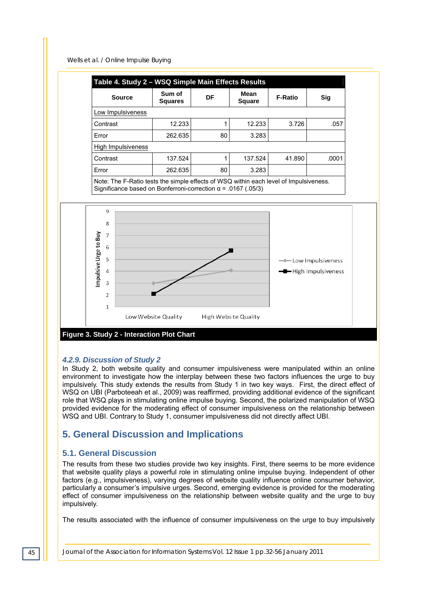

#### *4.2.9. Discussion of Study 2*

In Study 2, both website quality and consumer impulsiveness were manipulated within an online environment to investigate how the interplay between these two factors influences the urge to buy impulsively. This study extends the results from Study 1 in two key ways. First, the direct effect of WSQ on UBI (Parboteeah et al., 2009) was reaffirmed, providing additional evidence of the significant role that WSQ plays in stimulating online impulse buying. Second, the polarized manipulation of WSQ provided evidence for the moderating effect of consumer impulsiveness on the relationship between WSQ and UBI. Contrary to Study 1, consumer impulsiveness did not directly affect UBI.

# **5. General Discussion and Implications**

#### **5.1. General Discussion**

The results from these two studies provide two key insights. First, there seems to be more evidence that website quality plays a powerful role in stimulating online impulse buying. Independent of other factors (e.g., impulsiveness), varying degrees of website quality influence online consumer behavior, particularly a consumer's impulsive urges. Second, emerging evidence is provided for the moderating effect of consumer impulsiveness on the relationship between website quality and the urge to buy impulsively.

The results associated with the influence of consumer impulsiveness on the urge to buy impulsively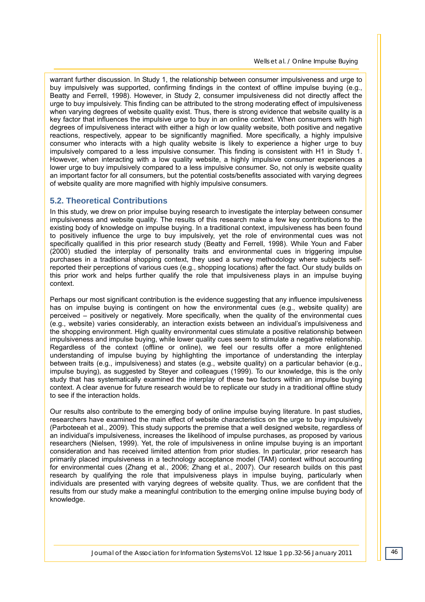warrant further discussion. In Study 1, the relationship between consumer impulsiveness and urge to buy impulsively was supported, confirming findings in the context of offline impulse buying (e.g., Beatty and Ferrell, 1998). However, in Study 2, consumer impulsiveness did not directly affect the urge to buy impulsively. This finding can be attributed to the strong moderating effect of impulsiveness when varying degrees of website quality exist. Thus, there is strong evidence that website quality is a key factor that influences the impulsive urge to buy in an online context. When consumers with high degrees of impulsiveness interact with either a high or low quality website, both positive and negative reactions, respectively, appear to be significantly magnified. More specifically, a highly impulsive consumer who interacts with a high quality website is likely to experience a higher urge to buy impulsively compared to a less impulsive consumer. This finding is consistent with H1 in Study 1. However, when interacting with a low quality website, a highly impulsive consumer experiences a lower urge to buy impulsively compared to a less impulsive consumer. So, not only is website quality an important factor for all consumers, but the potential costs/benefits associated with varying degrees of website quality are more magnified with highly impulsive consumers.

#### **5.2. Theoretical Contributions**

In this study, we drew on prior impulse buying research to investigate the interplay between consumer impulsiveness and website quality. The results of this research make a few key contributions to the existing body of knowledge on impulse buying. In a traditional context, impulsiveness has been found to positively influence the urge to buy impulsively, yet the role of environmental cues was not specifically qualified in this prior research study (Beatty and Ferrell, 1998). While Youn and Faber (2000) studied the interplay of personality traits and environmental cues in triggering impulse purchases in a traditional shopping context, they used a survey methodology where subjects selfreported their perceptions of various cues (e.g., shopping locations) after the fact. Our study builds on this prior work and helps further qualify the role that impulsiveness plays in an impulse buying context.

Perhaps our most significant contribution is the evidence suggesting that any influence impulsiveness has on impulse buying is contingent on how the environmental cues (e.g., website quality) are perceived – positively or negatively. More specifically, when the quality of the environmental cues (e.g., website) varies considerably, an interaction exists between an individual's impulsiveness and the shopping environment. High quality environmental cues stimulate a positive relationship between impulsiveness and impulse buying, while lower quality cues seem to stimulate a negative relationship. Regardless of the context (offline or online), we feel our results offer a more enlightened understanding of impulse buying by highlighting the importance of understanding the interplay between traits (e.g., impulsiveness) and states (e.g., website quality) on a particular behavior (e.g., impulse buying), as suggested by Steyer and colleagues (1999). To our knowledge, this is the only study that has systematically examined the interplay of these two factors within an impulse buying context. A clear avenue for future research would be to replicate our study in a traditional offline study to see if the interaction holds.

Our results also contribute to the emerging body of online impulse buying literature. In past studies, researchers have examined the main effect of website characteristics on the urge to buy impulsively (Parboteeah et al., 2009). This study supports the premise that a well designed website, regardless of an individual's impulsiveness, increases the likelihood of impulse purchases, as proposed by various researchers (Nielsen, 1999). Yet, the role of impulsiveness in online impulse buying is an important consideration and has received limited attention from prior studies. In particular, prior research has primarily placed impulsiveness in a technology acceptance model (TAM) context without accounting for environmental cues (Zhang et al., 2006; Zhang et al., 2007). Our research builds on this past research by qualifying the role that impulsiveness plays in impulse buying, particularly when individuals are presented with varying degrees of website quality. Thus, we are confident that the results from our study make a meaningful contribution to the emerging online impulse buying body of knowledge.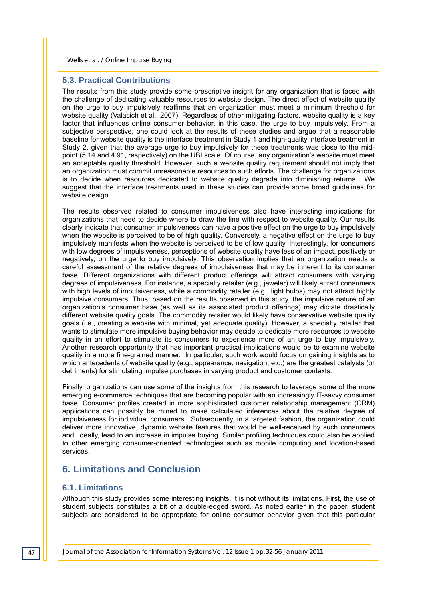#### **5.3. Practical Contributions**

The results from this study provide some prescriptive insight for any organization that is faced with the challenge of dedicating valuable resources to website design. The direct effect of website quality on the urge to buy impulsively reaffirms that an organization must meet a minimum threshold for website quality (Valacich et al., 2007). Regardless of other mitigating factors, website quality is a key factor that influences online consumer behavior, in this case, the urge to buy impulsively. From a subjective perspective, one could look at the results of these studies and argue that a reasonable baseline for website quality is the interface treatment in Study 1 and high-quality interface treatment in Study 2, given that the average urge to buy impulsively for these treatments was close to the midpoint (5.14 and 4.91, respectively) on the UBI scale. Of course, any organization's website must meet an acceptable quality threshold. However, such a website quality requirement should not imply that an organization must commit unreasonable resources to such efforts. The challenge for organizations is to decide when resources dedicated to website quality degrade into diminishing returns. We suggest that the interface treatments used in these studies can provide some broad guidelines for website design.

The results observed related to consumer impulsiveness also have interesting implications for organizations that need to decide where to draw the line with respect to website quality. Our results clearly indicate that consumer impulsiveness can have a positive effect on the urge to buy impulsively when the website is perceived to be of high quality. Conversely, a negative effect on the urge to buy impulsively manifests when the website is perceived to be of low quality. Interestingly, for consumers with low degrees of impulsiveness, perceptions of website quality have less of an impact, positively or negatively, on the urge to buy impulsively. This observation implies that an organization needs a careful assessment of the relative degrees of impulsiveness that may be inherent to its consumer base. Different organizations with different product offerings will attract consumers with varying degrees of impulsiveness. For instance, a specialty retailer (e.g., jeweler) will likely attract consumers with high levels of impulsiveness, while a commodity retailer (e.g., light bulbs) may not attract highly impulsive consumers. Thus, based on the results observed in this study, the impulsive nature of an organization's consumer base (as well as its associated product offerings) may dictate drastically different website quality goals. The commodity retailer would likely have conservative website quality goals (i.e., creating a website with minimal, yet adequate quality). However, a specialty retailer that wants to stimulate more impulsive buying behavior may decide to dedicate more resources to website quality in an effort to stimulate its consumers to experience more of an urge to buy impulsively. Another research opportunity that has important practical implications would be to examine website quality in a more fine-grained manner. In particular, such work would focus on gaining insights as to which antecedents of website quality (e.g., appearance, navigation, etc.) are the greatest catalysts (or detriments) for stimulating impulse purchases in varying product and customer contexts.

Finally, organizations can use some of the insights from this research to leverage some of the more emerging e-commerce techniques that are becoming popular with an increasingly IT-savvy consumer base. Consumer profiles created in more sophisticated customer relationship management (CRM) applications can possibly be mined to make calculated inferences about the relative degree of impulsiveness for individual consumers. Subsequently, in a targeted fashion, the organization could deliver more innovative, dynamic website features that would be well-received by such consumers and, ideally, lead to an increase in impulse buying. Similar profiling techniques could also be applied to other emerging consumer-oriented technologies such as mobile computing and location-based services.

## **6. Limitations and Conclusion**

#### **6.1. Limitations**

Although this study provides some interesting insights, it is not without its limitations. First, the use of student subjects constitutes a bit of a double-edged sword. As noted earlier in the paper, student subjects are considered to be appropriate for online consumer behavior given that this particular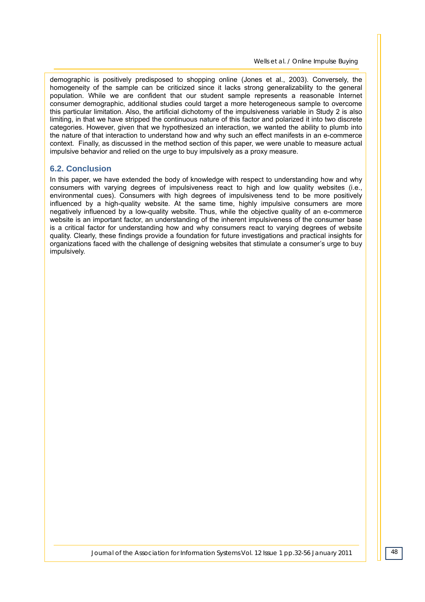demographic is positively predisposed to shopping online (Jones et al., 2003). Conversely, the homogeneity of the sample can be criticized since it lacks strong generalizability to the general population. While we are confident that our student sample represents a reasonable Internet consumer demographic, additional studies could target a more heterogeneous sample to overcome this particular limitation. Also, the artificial dichotomy of the impulsiveness variable in Study 2 is also limiting, in that we have stripped the continuous nature of this factor and polarized it into two discrete categories. However, given that we hypothesized an interaction, we wanted the ability to plumb into the nature of that interaction to understand how and why such an effect manifests in an e-commerce context. Finally, as discussed in the method section of this paper, we were unable to measure actual impulsive behavior and relied on the urge to buy impulsively as a proxy measure.

#### **6.2. Conclusion**

In this paper, we have extended the body of knowledge with respect to understanding how and why consumers with varying degrees of impulsiveness react to high and low quality websites (i.e., environmental cues). Consumers with high degrees of impulsiveness tend to be more positively influenced by a high-quality website. At the same time, highly impulsive consumers are more negatively influenced by a low-quality website. Thus, while the objective quality of an e-commerce website is an important factor, an understanding of the inherent impulsiveness of the consumer base is a critical factor for understanding how and why consumers react to varying degrees of website quality. Clearly, these findings provide a foundation for future investigations and practical insights for organizations faced with the challenge of designing websites that stimulate a consumer's urge to buy impulsively.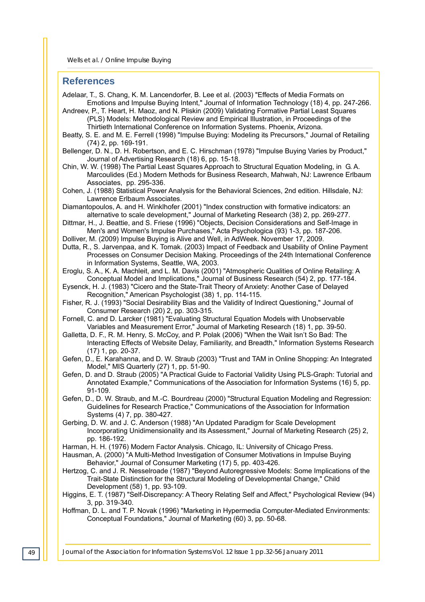#### **References**

Adelaar, T., S. Chang, K. M. Lancendorfer, B. Lee et al. (2003) "Effects of Media Formats on

- Emotions and Impulse Buying Intent," Journal of Information Technology (18) 4, pp. 247-266. Andreev, P., T. Heart, H. Maoz, and N. Pliskin (2009) Validating Formative Partial Least Squares (PLS) Models: Methodological Review and Empirical Illustration, in Proceedings of the
	- Thirtieth International Conference on Information Systems. Phoenix, Arizona.
- Beatty, S. E. and M. E. Ferrell (1998) "Impulse Buying: Modeling its Precursors," Journal of Retailing (74) 2, pp. 169-191.

Bellenger, D. N., D. H. Robertson, and E. C. Hirschman (1978) "Impulse Buying Varies by Product," Journal of Advertising Research (18) 6, pp. 15-18.

- Chin, W. W. (1998) The Partial Least Squares Approach to Structural Equation Modeling, in G. A. Marcoulides (Ed.) Modern Methods for Business Research, Mahwah, NJ: Lawrence Erlbaum Associates, pp. 295-336.
- Cohen, J. (1988) Statistical Power Analysis for the Behavioral Sciences, 2nd edition. Hillsdale, NJ: Lawrence Erlbaum Associates.

Diamantopoulos, A. and H. Winklhofer (2001) "Index construction with formative indicators: an alternative to scale development," Journal of Marketing Research (38) 2, pp. 269-277.

- Dittmar, H., J. Beattie, and S. Friese (1996) "Objects, Decision Considerations and Self-Image in Men's and Women's Impulse Purchases," Acta Psychologica (93) 1-3, pp. 187-206.
- Dolliver, M. (2009) Impulse Buying is Alive and Well, in AdWeek. November 17, 2009.

Dutta, R., S. Jarvenpaa, and K. Tomak. (2003) Impact of Feedback and Usability of Online Payment Processes on Consumer Decision Making. Proceedings of the 24th International Conference in Information Systems, Seattle, WA, 2003.

Eroglu, S. A., K. A. Machleit, and L. M. Davis (2001) "Atmospheric Qualities of Online Retailing: A Conceptual Model and Implications," Journal of Business Research (54) 2, pp. 177-184.

Eysenck, H. J. (1983) "Cicero and the State-Trait Theory of Anxiety: Another Case of Delayed Recognition," American Psychologist (38) 1, pp. 114-115.

Fisher, R. J. (1993) "Social Desirability Bias and the Validity of Indirect Questioning," Journal of Consumer Research (20) 2, pp. 303-315.

Fornell, C. and D. Larcker (1981) "Evaluating Structural Equation Models with Unobservable Variables and Measurement Error," Journal of Marketing Research (18) 1, pp. 39-50.

Galletta, D. F., R. M. Henry, S. McCoy, and P. Polak (2006) "When the Wait Isn't So Bad: The Interacting Effects of Website Delay, Familiarity, and Breadth," Information Systems Research (17) 1, pp. 20-37.

Gefen, D., E. Karahanna, and D. W. Straub (2003) "Trust and TAM in Online Shopping: An Integrated Model," MIS Quarterly (27) 1, pp. 51-90.

- Gefen, D. and D. Straub (2005) "A Practical Guide to Factorial Validity Using PLS-Graph: Tutorial and Annotated Example," Communications of the Association for Information Systems (16) 5, pp. 91-109.
- Gefen, D., D. W. Straub, and M.-C. Bourdreau (2000) "Structural Equation Modeling and Regression: Guidelines for Research Practice," Communications of the Association for Information Systems (4) 7, pp. 380-427.

Gerbing, D. W. and J. C. Anderson (1988) "An Updated Paradigm for Scale Development Incorporating Unidimensionality and its Assessment," Journal of Marketing Research (25) 2, pp. 186-192.

Harman, H. H. (1976) Modern Factor Analysis. Chicago, IL: University of Chicago Press.

- Hausman, A. (2000) "A Multi-Method Investigation of Consumer Motivations in Impulse Buying Behavior," Journal of Consumer Marketing (17) 5, pp. 403-426.
- Hertzog, C. and J. R. Nesselroade (1987) "Beyond Autoregressive Models: Some Implications of the Trait-State Distinction for the Structural Modeling of Developmental Change," Child Development (58) 1, pp. 93-109.

Higgins, E. T. (1987) "Self-Discrepancy: A Theory Relating Self and Affect," Psychological Review (94) 3, pp. 319-340.

Hoffman, D. L. and T. P. Novak (1996) "Marketing in Hypermedia Computer-Mediated Environments: Conceptual Foundations," Journal of Marketing (60) 3, pp. 50-68.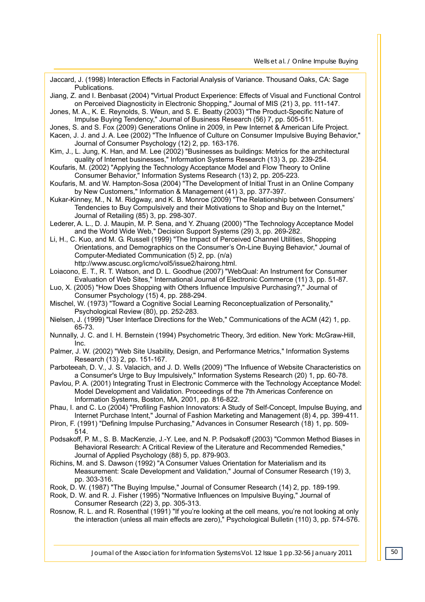| Jaccard, J. (1998) Interaction Effects in Factorial Analysis of Variance. Thousand Oaks, CA: Sage<br>Publications. |
|--------------------------------------------------------------------------------------------------------------------|
| Jiang, Z. and I. Benbasat (2004) "Virtual Product Experience: Effects of Visual and Functional Control             |
| on Perceived Diagnosticity in Electronic Shopping," Journal of MIS (21) 3, pp. 111-147.                            |
| Jones, M. A., K. E. Reynolds, S. Weun, and S. E. Beatty (2003) "The Product-Specific Nature of                     |
| Impulse Buying Tendency," Journal of Business Research (56) 7, pp. 505-511.                                        |
| Jones, S. and S. Fox (2009) Generations Online in 2009, in Pew Internet & American Life Project.                   |
| Kacen, J. J. and J. A. Lee (2002) "The Influence of Culture on Consumer Impulsive Buying Behavior,"                |
| Journal of Consumer Psychology (12) 2, pp. 163-176.                                                                |
| Kim, J., L. Jung, K. Han, and M. Lee (2002) "Businesses as buildings: Metrics for the architectural                |
| quality of Internet businesses," Information Systems Research (13) 3, pp. 239-254.                                 |
| Koufaris, M. (2002) "Applying the Technology Acceptance Model and Flow Theory to Online                            |
| Consumer Behavior," Information Systems Research (13) 2, pp. 205-223.                                              |
| Koufaris, M. and W. Hampton-Sosa (2004) "The Development of Initial Trust in an Online Company                     |
| by New Customers," Information & Management (41) 3, pp. 377-397.                                                   |
| Kukar-Kinney, M., N. M. Ridgway, and K. B. Monroe (2009) "The Relationship between Consumers'                      |
| Tendencies to Buy Compulsively and their Motivations to Shop and Buy on the Internet,"                             |
| Journal of Retailing (85) 3, pp. 298-307.                                                                          |
| Lederer, A. L., D. J. Maupin, M. P. Sena, and Y. Zhuang (2000) "The Technology Acceptance Model                    |
| and the World Wide Web," Decision Support Systems (29) 3, pp. 269-282.                                             |
| Li, H., C. Kuo, and M. G. Russell (1999) "The Impact of Perceived Channel Utilities, Shopping                      |
| Orientations, and Demographics on the Consumer's On-Line Buying Behavior," Journal of                              |
| Computer-Mediated Communication (5) 2, pp. (n/a)                                                                   |
| http://www.ascusc.org/icmc/vol5/issue2/hairong.html.                                                               |
| Loiacono, E. T., R. T. Watson, and D. L. Goodhue (2007) "WebQual: An Instrument for Consumer                       |
| Evaluation of Web Sites," International Journal of Electronic Commerce (11) 3, pp. 51-87.                          |
| Luo, X. (2005) "How Does Shopping with Others Influence Impulsive Purchasing?," Journal of                         |
| Consumer Psychology (15) 4, pp. 288-294.                                                                           |
| Mischel, W. (1973) "Toward a Cognitive Social Learning Reconceptualization of Personality,"                        |
| Psychological Review (80), pp. 252-283.                                                                            |
| Nielsen, J. (1999) "User Interface Directions for the Web," Communications of the ACM (42) 1, pp.                  |
| 65-73.                                                                                                             |
| Nunnally, J. C. and I. H. Bernstein (1994) Psychometric Theory, 3rd edition. New York: McGraw-Hill,                |
| Inc.                                                                                                               |
| Palmer, J. W. (2002) "Web Site Usability, Design, and Performance Metrics," Information Systems                    |
| Research (13) 2, pp. 151-167.                                                                                      |
| Parboteeah, D. V., J. S. Valacich, and J. D. Wells (2009) "The Influence of Website Characteristics on             |
| a Consumer's Urge to Buy Impulsively," Information Systems Research (20) 1, pp. 60-78.                             |
| Pavlou, P. A. (2001) Integrating Trust in Electronic Commerce with the Technology Acceptance Model:                |
| Model Development and Validation. Proceedings of the 7th Americas Conference on                                    |
| Information Systems, Boston, MA, 2001, pp. 816-822.                                                                |
| Phau, I. and C. Lo (2004) "Profiling Fashion Innovators: A Study of Self-Concept, Impulse Buying, and              |
| Internet Purchase Intent," Journal of Fashion Marketing and Management (8) 4, pp. 399-411.                         |
| Piron, F. (1991) "Defining Impulse Purchasing," Advances in Consumer Research (18) 1, pp. 509-                     |
| 514.                                                                                                               |
| Podsakoff, P. M., S. B. MacKenzie, J.-Y. Lee, and N. P. Podsakoff (2003) "Common Method Biases in                  |
| Behavioral Research: A Critical Review of the Literature and Recommended Remedies,"                                |
| Journal of Applied Psychology (88) 5, pp. 879-903.                                                                 |
| Richins, M. and S. Dawson (1992) "A Consumer Values Orientation for Materialism and its                            |
| Measurement: Scale Development and Validation," Journal of Consumer Research (19) 3,                               |
| pp. 303-316.                                                                                                       |
| Rook, D. W. (1987) "The Buying Impulse," Journal of Consumer Research (14) 2, pp. 189-199.                         |
| Rook, D. W. and R. J. Fisher (1995) "Normative Influences on Impulsive Buying," Journal of                         |
| Consumer Research (22) 3, pp. 305-313.                                                                             |
| Rosnow, R. L. and R. Rosenthal (1991) "If you're looking at the cell means, you're not looking at only             |
| the interaction (unless all main effects are zero)," Psychological Bulletin (110) 3, pp. 574-576.                  |
|                                                                                                                    |
|                                                                                                                    |
|                                                                                                                    |
|                                                                                                                    |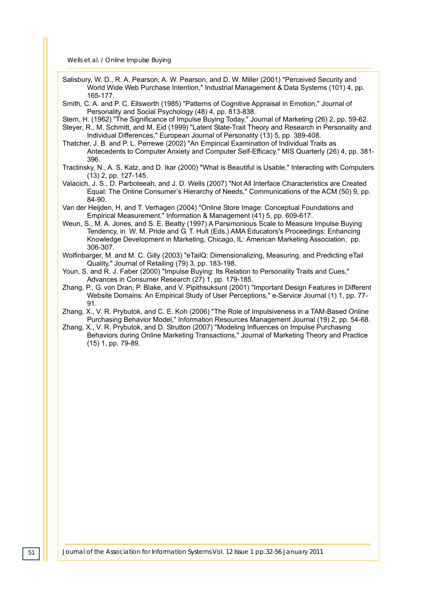- Salisbury, W. D., R. A. Pearson, A. W. Pearson, and D. W. Miller (2001) "Perceived Security and World Wide Web Purchase Intention," Industrial Management & Data Systems (101) 4, pp. 165-177.
- Smith, C. A. and P. C. Ellsworth (1985) "Patterns of Cognitive Appraisal in Emotion," Journal of Personality and Social Psychology (48) 4, pp. 813-838.
- Stern, H. (1962) "The Significance of Impulse Buying Today," Journal of Marketing (26) 2, pp. 59-62.
- Steyer, R., M. Schmitt, and M. Eid (1999) "Latent State-Trait Theory and Research in Personality and Individual Differences," European Journal of Personality (13) 5, pp. 389-408.
- Thatcher, J. B. and P. L. Perrewe (2002) "An Empirical Examination of Individual Traits as Antecedents to Computer Anxiety and Computer Self-Efficacy," MIS Quarterly (26) 4, pp. 381- 396.
- Tractinsky, N., A. S. Katz, and D. Ikar (2000) "What is Beautiful is Usable," Interacting with Computers (13) 2, pp. 127-145.
- Valacich, J. S., D. Parboteeah, and J. D. Wells (2007) "Not All Interface Characteristics are Created Equal: The Online Consumer's Hierarchy of Needs," Communications of the ACM (50) 9, pp. 84-90.
- Van der Heijden, H. and T. Verhagen (2004) "Online Store Image: Conceptual Foundations and Empirical Measurement," Information & Management (41) 5, pp. 609-617.
- Weun, S., M. A. Jones, and S. E. Beatty (1997) A Parsimonious Scale to Measure Impulse Buying Tendency, in W. M. Pride and G. T. Hult (Eds.) AMA Educators's Proceedings: Enhancing Knowledge Development in Marketing, Chicago, IL: American Marketing Association, pp. 306-307.
- Wolfinbarger, M. and M. C. Gilly (2003) "eTailQ: Dimensionalizing, Measuring, and Predicting eTail Quality," Journal of Retailing (79) 3, pp. 183-198.
- Youn, S. and R. J. Faber (2000) "Impulse Buying: Its Relation to Personality Traits and Cues," Advances in Consumer Research (27) 1, pp. 179-185.
- Zhang, P., G. von Dran, P. Blake, and V. Pipithsuksunt (2001) "Important Design Features in Different Website Domains: An Empirical Study of User Perceptions," e-Service Journal (1) 1, pp. 77- 91.
- Zhang, X., V. R. Prybutok, and C. E. Koh (2006) "The Role of Impulsiveness in a TAM-Based Online Purchasing Behavior Model," Information Resources Management Journal (19) 2, pp. 54-68.
- Zhang, X., V. R. Prybutok, and D. Strutton (2007) "Modeling Influences on Impulse Purchasing Behaviors during Online Marketing Transactions," Journal of Marketing Theory and Practice (15) 1, pp. 79-89.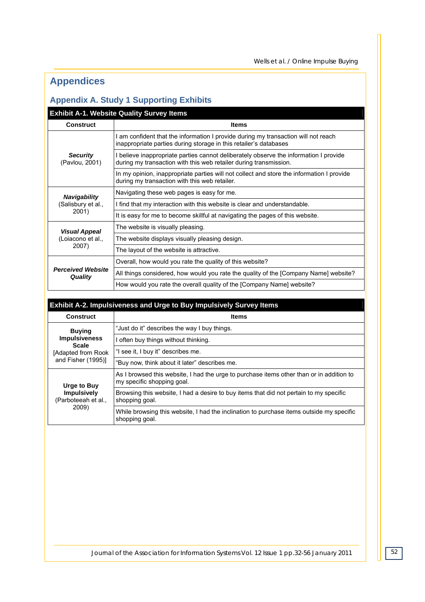# **Appendices**

# **Appendix A. Study 1 Supporting Exhibits**

# **Exhibit A-1. Website Quality Survey Items**

| <b>Construct</b>                           | <b>Items</b>                                                                                                                                               |  |  |
|--------------------------------------------|------------------------------------------------------------------------------------------------------------------------------------------------------------|--|--|
|                                            | I am confident that the information I provide during my transaction will not reach<br>inappropriate parties during storage in this retailer's databases    |  |  |
| <b>Security</b><br>(Pavlou, 2001)          | I believe inappropriate parties cannot deliberately observe the information I provide<br>during my transaction with this web retailer during transmission. |  |  |
|                                            | In my opinion, inappropriate parties will not collect and store the information I provide<br>during my transaction with this web retailer.                 |  |  |
| <b>Navigability</b>                        | Navigating these web pages is easy for me.                                                                                                                 |  |  |
| (Salisbury et al.,                         | I find that my interaction with this website is clear and understandable.                                                                                  |  |  |
| 2001)                                      | It is easy for me to become skillful at navigating the pages of this website.                                                                              |  |  |
| <b>Visual Appeal</b>                       | The website is visually pleasing.                                                                                                                          |  |  |
| (Loiacono et al.,                          | The website displays visually pleasing design.                                                                                                             |  |  |
| 2007)                                      | The layout of the website is attractive.                                                                                                                   |  |  |
|                                            | Overall, how would you rate the quality of this website?                                                                                                   |  |  |
| <b>Perceived Website</b><br><b>Quality</b> | All things considered, how would you rate the quality of the [Company Name] website?                                                                       |  |  |
|                                            | How would you rate the overall quality of the [Company Name] website?                                                                                      |  |  |

| <b>Exhibit A-2. Impulsiveness and Urge to Buy Impulsively Survey Items</b> |                                                                                                                        |  |  |  |  |
|----------------------------------------------------------------------------|------------------------------------------------------------------------------------------------------------------------|--|--|--|--|
| <b>Construct</b>                                                           | <b>Items</b>                                                                                                           |  |  |  |  |
| <b>Buying</b>                                                              | "Just do it" describes the way I buy things.                                                                           |  |  |  |  |
| <b>Impulsiveness</b><br><b>Scale</b>                                       | I often buy things without thinking.                                                                                   |  |  |  |  |
| [Adapted from Rook]                                                        | "I see it, I buy it" describes me.                                                                                     |  |  |  |  |
| and Fisher (1995)]                                                         | "Buy now, think about it later" describes me.                                                                          |  |  |  |  |
| Urge to Buy<br><b>Impulsively</b><br>(Parboteeah et al.,<br>2009)          | As I browsed this website, I had the urge to purchase items other than or in addition to<br>my specific shopping goal. |  |  |  |  |
|                                                                            | Browsing this website, I had a desire to buy items that did not pertain to my specific<br>shopping goal.               |  |  |  |  |
|                                                                            | While browsing this website, I had the inclination to purchase items outside my specific<br>shopping goal.             |  |  |  |  |

*Journal of the Association for Information Systems Vol. 12 Issue 1 pp.32-56 January 2011 52*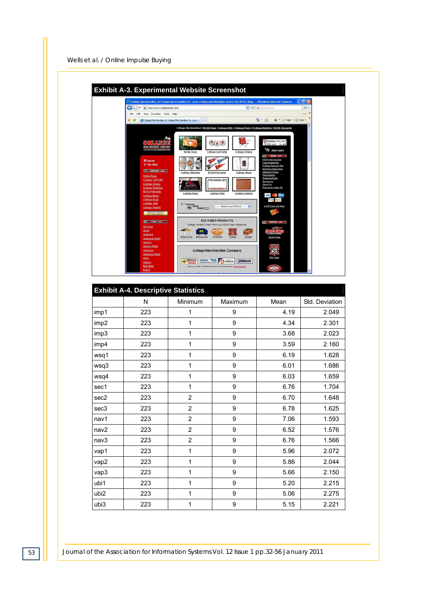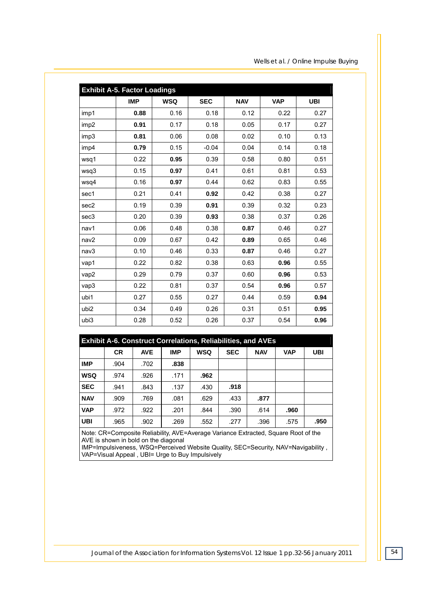| <b>Exhibit A-5. Factor Loadings</b> |            |            |            |            |            |            |  |  |
|-------------------------------------|------------|------------|------------|------------|------------|------------|--|--|
|                                     | <b>IMP</b> | <b>WSQ</b> | <b>SEC</b> | <b>NAV</b> | <b>VAP</b> | <b>UBI</b> |  |  |
| imp1                                | 0.88       | 0.16       | 0.18       | 0.12       | 0.22       | 0.27       |  |  |
| imp <sub>2</sub>                    | 0.91       | 0.17       | 0.18       | 0.05       | 0.17       | 0.27       |  |  |
| imp3                                | 0.81       | 0.06       | 0.08       | 0.02       | 0.10       | 0.13       |  |  |
| imp4                                | 0.79       | 0.15       | $-0.04$    | 0.04       | 0.14       | 0.18       |  |  |
| wsq1                                | 0.22       | 0.95       | 0.39       | 0.58       | 0.80       | 0.51       |  |  |
| wsq3                                | 0.15       | 0.97       | 0.41       | 0.61       | 0.81       | 0.53       |  |  |
| wsq4                                | 0.16       | 0.97       | 0.44       | 0.62       | 0.83       | 0.55       |  |  |
| sec1                                | 0.21       | 0.41       | 0.92       | 0.42       | 0.38       | 0.27       |  |  |
| sec2                                | 0.19       | 0.39       | 0.91       | 0.39       | 0.32       | 0.23       |  |  |
| sec <sub>3</sub>                    | 0.20       | 0.39       | 0.93       | 0.38       | 0.37       | 0.26       |  |  |
| nav1                                | 0.06       | 0.48       | 0.38       | 0.87       | 0.46       | 0.27       |  |  |
| nav2                                | 0.09       | 0.67       | 0.42       | 0.89       | 0.65       | 0.46       |  |  |
| nav3                                | 0.10       | 0.46       | 0.33       | 0.87       | 0.46       | 0.27       |  |  |
| vap1                                | 0.22       | 0.82       | 0.38       | 0.63       | 0.96       | 0.55       |  |  |
| vap2                                | 0.29       | 0.79       | 0.37       | 0.60       | 0.96       | 0.53       |  |  |
| vap3                                | 0.22       | 0.81       | 0.37       | 0.54       | 0.96       | 0.57       |  |  |
| ubi1                                | 0.27       | 0.55       | 0.27       | 0.44       | 0.59       | 0.94       |  |  |
| ubi2                                | 0.34       | 0.49       | 0.26       | 0.31       | 0.51       | 0.95       |  |  |
| ubi3                                | 0.28       | 0.52       | 0.26       | 0.37       | 0.54       | 0.96       |  |  |

| <b>Exhibit A-6. Construct Correlations, Reliabilities, and AVEs</b> |           |            |            |            |            |            |            |      |
|---------------------------------------------------------------------|-----------|------------|------------|------------|------------|------------|------------|------|
|                                                                     | <b>CR</b> | <b>AVE</b> | <b>IMP</b> | <b>WSQ</b> | <b>SEC</b> | <b>NAV</b> | <b>VAP</b> | UBI  |
| <b>IMP</b>                                                          | .904      | .702       | .838       |            |            |            |            |      |
| <b>WSQ</b>                                                          | .974      | .926       | .171       | .962       |            |            |            |      |
| <b>SEC</b>                                                          | .941      | .843       | .137       | .430       | .918       |            |            |      |
| <b>NAV</b>                                                          | .909      | .769       | .081       | .629       | .433       | .877       |            |      |
| <b>VAP</b>                                                          | .972      | .922       | .201       | .844       | .390       | .614       | .960       |      |
| <b>UBI</b>                                                          | .965      | .902       | .269       | .552       | .277       | .396       | .575       | .950 |

Note: CR=Composite Reliability, AVE=Average Variance Extracted, Square Root of the AVE is shown in bold on the diagonal

IMP=Impulsiveness, WSQ=Perceived Website Quality, SEC=Security, NAV=Navigability , VAP=Visual Appeal , UBI= Urge to Buy Impulsively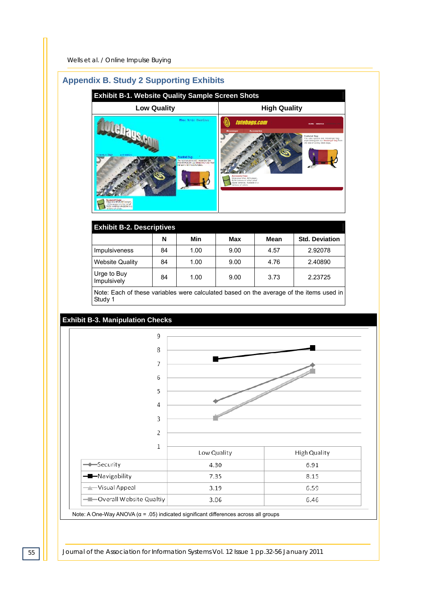# **Appendix B. Study 2 Supporting Exhibits**

| <b>Exhibit B-1. Website Quality Sample Screen Shots</b>                                                                                                                                                                                               |                                                                                                                                                                                                                                                                                                                                                              |  |  |  |  |  |
|-------------------------------------------------------------------------------------------------------------------------------------------------------------------------------------------------------------------------------------------------------|--------------------------------------------------------------------------------------------------------------------------------------------------------------------------------------------------------------------------------------------------------------------------------------------------------------------------------------------------------------|--|--|--|--|--|
| <b>Low Quality</b>                                                                                                                                                                                                                                    | <b>High Quality</b>                                                                                                                                                                                                                                                                                                                                          |  |  |  |  |  |
| Hine Senior Theodore<br>content Bage<br>しりの きんがんさ<br>earling 3cm<br>Ne substance and measures the<br>entertet nutri es titranme sas mo-<br>at the triber such a large.<br>yuanaan Case<br>Waxaan Port Michage,<br>350 university and<br>erbroad wive. | totebags.com<br><b>SERVICE</b><br><b>Accessories</b><br>dessenger<br><b>Featured Bag:</b><br>The color options and messenger bag<br>style distinguish our Messenger bag from<br>the sea of boring black bags.<br><b>Accessory Case</b><br>Stow your iPod, MP3 player,<br>ELPH camera or other small<br>digital cameras. Available in a<br>rainbow of colors. |  |  |  |  |  |

| <b>Exhibit B-2. Descriptives</b>                                                        |    |      |      |      |                       |  |  |
|-----------------------------------------------------------------------------------------|----|------|------|------|-----------------------|--|--|
|                                                                                         | N  | Min  | Max  | Mean | <b>Std. Deviation</b> |  |  |
| <b>Impulsiveness</b>                                                                    | 84 | 1.00 | 9.00 | 4.57 | 2.92078               |  |  |
| <b>Website Quality</b>                                                                  | 84 | 1.00 | 9.00 | 4.76 | 2.40890               |  |  |
| Urge to Buy<br>Impulsively                                                              | 84 | 1.00 | 9.00 | 3.73 | 2.23725               |  |  |
| Note: Each of these variables were calculated based on the average of the items used in |    |      |      |      |                       |  |  |

Note: Each of these variables were calculated based on the average of the items used in Study 1

#### **Exhibit B-3. Manipulation Checks**



Note: A One-Way ANOVA (α = .05) indicated significant differences across all groups

*55 Journal of the Association for Information Systems Vol. 12 Issue 1 pp.32-56 January 2011*